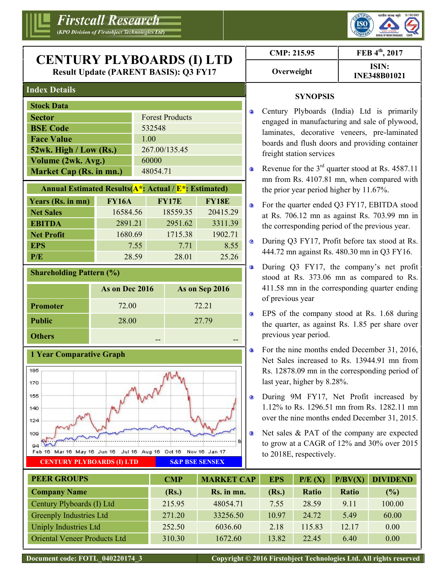



## **Index Details**

| <b>Stock Data</b>         |                        |
|---------------------------|------------------------|
| <b>Sector</b>             | <b>Forest Products</b> |
| <b>BSE Code</b>           | 532548                 |
| <b>Face Value</b>         | 1.00                   |
| $52wk$ . High / Low (Rs.) | 267.00/135.45          |
| Volume (2wk. Avg.)        | 60000                  |
| Market Cap (Rs. in mn.)   | 48054.71               |

| <b>Annual Estimated Results (A*: Actual / <math>E^*</math>: Estimated)</b> |              |              |              |   |    |  |  |
|----------------------------------------------------------------------------|--------------|--------------|--------------|---|----|--|--|
| Years (Rs. in mn)                                                          | <b>FY16A</b> | <b>FY17E</b> | <b>FY18E</b> | o | Fc |  |  |
| <b>Net Sales</b>                                                           | 16584.56     | 18559.35     | 20415.29     |   | at |  |  |
| <b>EBITDA</b>                                                              | 2891.21      | 2951.62      | 3311.39      |   | th |  |  |
| <b>Net Profit</b>                                                          | 1680.69      | 1715.38      | 1902.71      |   |    |  |  |
| <b>EPS</b>                                                                 | 7.55         | 7.71         | 8.55         |   | Dı |  |  |
| P/E                                                                        | 28.59        | 28.01        | 25.26        |   | 44 |  |  |

#### **Shareholding Pattern (%)**

|                 | As on Dec 2016 | As on Sep 2016 |
|-----------------|----------------|----------------|
| <b>Promoter</b> | 72.00          | 72.21          |
| <b>Public</b>   | 28.00          | 27.79          |
| <b>Others</b>   | --             |                |



| CMP: 215.95 | FEB 4th, 2017                |  |
|-------------|------------------------------|--|
| Overweight  | ISIN:<br><b>INE348B01021</b> |  |

## **SYNOPSIS**

- Century Plyboards (India) Ltd is primarily engaged in manufacturing and sale of plywood, laminates, decorative veneers, pre-laminated boards and flush doors and providing container freight station services
- Revenue for the 3rd quarter stood at Rs. 4587.11  $\bullet$ mn from Rs. 4107.81 mn, when compared with the prior year period higher by 11.67%.
- For the quarter ended Q3 FY17, EBITDA stood at Rs. 706.12 mn as against Rs. 703.99 mn in the corresponding period of the previous year.
- During Q3 FY17, Profit before tax stood at Rs. 444.72 mn against Rs. 480.30 mn in Q3 FY16.
- During Q3 FY17, the company's net profit  $\bullet$ stood at Rs. 373.06 mn as compared to Rs. 411.58 mn in the corresponding quarter ending of previous year
- **EPS** of the company stood at Rs. 1.68 during the quarter, as against Rs. 1.85 per share over previous year period.
- For the nine months ended December 31, 2016, Net Sales increased to Rs. 13944.91 mn from Rs. 12878.09 mn in the corresponding period of last year, higher by 8.28%.
- **•** During 9M FY17, Net Profit increased by 1.12% to Rs. 1296.51 mn from Rs. 1282.11 mn over the nine months ended December 31, 2015.
	- Net sales & PAT of the company are expected to grow at a CAGR of 12% and 30% over 2015 to 2018E, respectively.

| <b>PEER GROUPS</b>                  | <b>CMP</b> | <b>MARKET CAP</b> | <b>EPS</b> | P/E(X) | P/BV(X) | <b>DIVIDEND</b> |
|-------------------------------------|------------|-------------------|------------|--------|---------|-----------------|
| <b>Company Name</b>                 | (Rs.)      | Rs. in mn.        | (Rs.)      | Ratio  | Ratio   | (%)             |
| Century Plyboards (I) Ltd           | 215.95     | 48054.71          | 7.55       | 28.59  | 9.11    | 100.00          |
| <b>Greenply Industries Ltd</b>      | 271.20     | 33256.50          | 10.97      | 24.72  | 5.49    | 60.00           |
| Uniply Industries Ltd               | 252.50     | 6036.60           | 2.18       | 115.83 | 12.17   | 0.00            |
| <b>Oriental Veneer Products Ltd</b> | 310.30     | 1672.60           | 13.82      | 22.45  | 6.40    | 0.00            |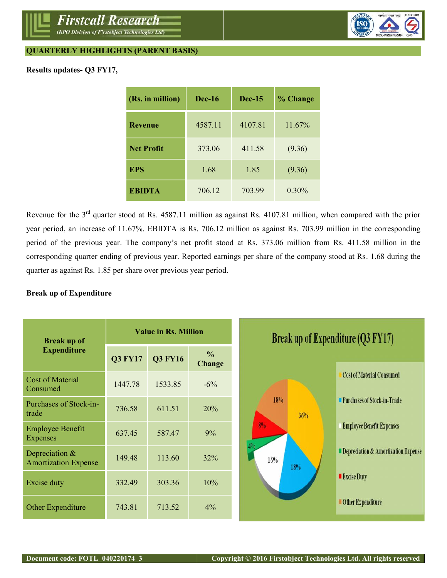

## **QUARTERLY HIGHLIGHTS (PARENT BASIS)**

## **Results updates- Q3 FY17,**

| (Rs. in million)  | <b>Dec-16</b> | $Dec-15$ | % Change |
|-------------------|---------------|----------|----------|
| <b>Revenue</b>    | 4587.11       | 4107.81  | 11.67%   |
| <b>Net Profit</b> | 373.06        | 411.58   | (9.36)   |
| <b>EPS</b>        | 1.68          | 1.85     | (9.36)   |
| <b>EBIDTA</b>     | 706.12        | 703.99   | $0.30\%$ |

Revenue for the  $3<sup>rd</sup>$  quarter stood at Rs. 4587.11 million as against Rs. 4107.81 million, when compared with the prior year period, an increase of 11.67%. EBIDTA is Rs. 706.12 million as against Rs. 703.99 million in the corresponding period of the previous year. The company's net profit stood at Rs. 373.06 million from Rs. 411.58 million in the corresponding quarter ending of previous year. Reported earnings per share of the company stood at Rs. 1.68 during the quarter as against Rs. 1.85 per share over previous year period.

#### **Break up of Expenditure**

| <b>Break up of</b>                              | <b>Value in Rs. Million</b> |                | <b>Break up of Expenditure (Q3 FY17)</b> |                                           |                                     |
|-------------------------------------------------|-----------------------------|----------------|------------------------------------------|-------------------------------------------|-------------------------------------|
| <b>Expenditure</b>                              | <b>Q3 FY17</b>              | <b>Q3 FY16</b> | $\frac{0}{0}$<br><b>Change</b>           |                                           |                                     |
| <b>Cost of Material</b><br>Consumed             | 1447.78                     | 1533.85        | $-6\%$                                   |                                           | <b>Cost of Material Consumed</b>    |
| <b>Purchases of Stock-in-</b><br>trade          | 736.58                      | 611.51         | 20%                                      | 18%<br>36%                                | <b>Purchases of Stock-in-Trade</b>  |
| <b>Employee Benefit</b><br><b>Expenses</b>      | 637.45                      | 587.47         | 9%                                       | 8 <sub>0</sub><br>16%<br>18° <sub>0</sub> | <b>Employee Benefit Expenses</b>    |
| Depreciation $&$<br><b>Amortization Expense</b> | 149.48                      | 113.60         | 32%                                      |                                           | Depreciation & Amortization Expense |
| <b>Excise duty</b>                              | 332.49                      | 303.36         | 10%                                      |                                           | <b>Excise Duty</b>                  |
| Other Expenditure                               | 743.81                      | 713.52         | 4%                                       |                                           | <b>Other Expenditure</b>            |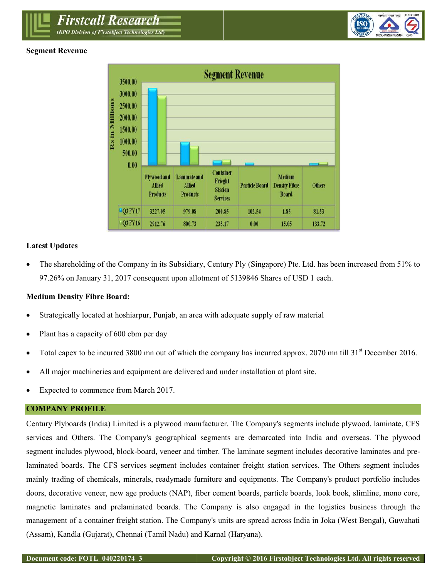(KPO Division of Firstobject Technologies Ltd)

*Firstcall Research* 

## **Segment Revenue**





## **Latest Updates**

 The shareholding of the Company in its Subsidiary, Century Ply (Singapore) Pte. Ltd. has been increased from 51% to 97.26% on January 31, 2017 consequent upon allotment of 5139846 Shares of USD 1 each.

### **Medium Density Fibre Board:**

- Strategically located at hoshiarpur, Punjab, an area with adequate supply of raw material
- Plant has a capacity of 600 cbm per day
- Total capex to be incurred 3800 mn out of which the company has incurred approx. 2070 mn till 31<sup>st</sup> December 2016.
- All major machineries and equipment are delivered and under installation at plant site.
- Expected to commence from March 2017.

#### **COMPANY PROFILE**

Century Plyboards (India) Limited is a plywood manufacturer. The Company's segments include plywood, laminate, CFS services and Others. The Company's geographical segments are demarcated into India and overseas. The plywood segment includes plywood, block-board, veneer and timber. The laminate segment includes decorative laminates and prelaminated boards. The CFS services segment includes container freight station services. The Others segment includes mainly trading of chemicals, minerals, readymade furniture and equipments. The Company's product portfolio includes doors, decorative veneer, new age products (NAP), fiber cement boards, particle boards, look book, slimline, mono core, magnetic laminates and prelaminated boards. The Company is also engaged in the logistics business through the management of a container freight station. The Company's units are spread across India in Joka (West Bengal), Guwahati (Assam), Kandla (Gujarat), Chennai (Tamil Nadu) and Karnal (Haryana).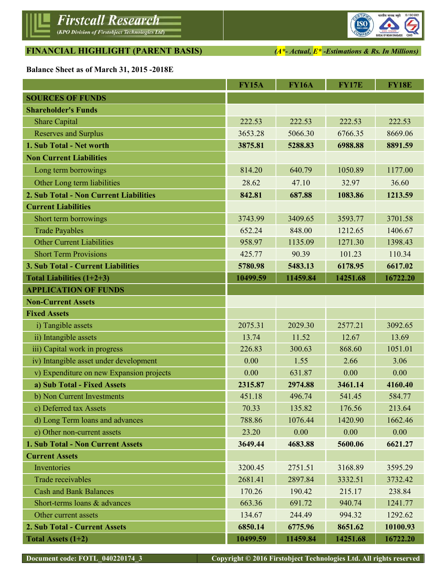# **FINANCIAL HIGHLIGHT (PARENT BASIS)** *(A\*- Actual, E\* -Estimations & Rs. In Millions)*

**Balance Sheet as of March 31, 2015 -2018E**

|                                          | <b>FY15A</b> | <b>FY16A</b> | <b>FY17E</b> | <b>FY18E</b> |
|------------------------------------------|--------------|--------------|--------------|--------------|
| <b>SOURCES OF FUNDS</b>                  |              |              |              |              |
| <b>Shareholder's Funds</b>               |              |              |              |              |
| <b>Share Capital</b>                     | 222.53       | 222.53       | 222.53       | 222.53       |
| <b>Reserves and Surplus</b>              | 3653.28      | 5066.30      | 6766.35      | 8669.06      |
| 1. Sub Total - Net worth                 | 3875.81      | 5288.83      | 6988.88      | 8891.59      |
| <b>Non Current Liabilities</b>           |              |              |              |              |
| Long term borrowings                     | 814.20       | 640.79       | 1050.89      | 1177.00      |
| Other Long term liabilities              | 28.62        | 47.10        | 32.97        | 36.60        |
| 2. Sub Total - Non Current Liabilities   | 842.81       | 687.88       | 1083.86      | 1213.59      |
| <b>Current Liabilities</b>               |              |              |              |              |
| Short term borrowings                    | 3743.99      | 3409.65      | 3593.77      | 3701.58      |
| <b>Trade Payables</b>                    | 652.24       | 848.00       | 1212.65      | 1406.67      |
| <b>Other Current Liabilities</b>         | 958.97       | 1135.09      | 1271.30      | 1398.43      |
| <b>Short Term Provisions</b>             | 425.77       | 90.39        | 101.23       | 110.34       |
| 3. Sub Total - Current Liabilities       | 5780.98      | 5483.13      | 6178.95      | 6617.02      |
| Total Liabilities $(1+2+3)$              | 10499.59     | 11459.84     | 14251.68     | 16722.20     |
| <b>APPLICATION OF FUNDS</b>              |              |              |              |              |
| <b>Non-Current Assets</b>                |              |              |              |              |
| <b>Fixed Assets</b>                      |              |              |              |              |
| i) Tangible assets                       | 2075.31      | 2029.30      | 2577.21      | 3092.65      |
| ii) Intangible assets                    | 13.74        | 11.52        | 12.67        | 13.69        |
| iii) Capital work in progress            | 226.83       | 300.63       | 868.60       | 1051.01      |
| iv) Intangible asset under development   | 0.00         | 1.55         | 2.66         | 3.06         |
| v) Expenditure on new Expansion projects | 0.00         | 631.87       | 0.00         | 0.00         |
| a) Sub Total - Fixed Assets              | 2315.87      | 2974.88      | 3461.14      | 4160.40      |
| b) Non Current Investments               | 451.18       | 496.74       | 541.45       | 584.77       |
| c) Deferred tax Assets                   | 70.33        | 135.82       | 176.56       | 213.64       |
| d) Long Term loans and advances          | 788.86       | 1076.44      | 1420.90      | 1662.46      |
| e) Other non-current assets              | 23.20        | 0.00         | 0.00         | 0.00         |
| <b>1. Sub Total - Non Current Assets</b> | 3649.44      | 4683.88      | 5600.06      | 6621.27      |
| <b>Current Assets</b>                    |              |              |              |              |
| Inventories                              | 3200.45      | 2751.51      | 3168.89      | 3595.29      |
| Trade receivables                        | 2681.41      | 2897.84      | 3332.51      | 3732.42      |
| <b>Cash and Bank Balances</b>            | 170.26       | 190.42       | 215.17       | 238.84       |
| Short-terms loans & advances             | 663.36       | 691.72       | 940.74       | 1241.77      |
| Other current assets                     | 134.67       | 244.49       | 994.32       | 1292.62      |
| 2. Sub Total - Current Assets            | 6850.14      | 6775.96      | 8651.62      | 10100.93     |
| Total Assets (1+2)                       | 10499.59     | 11459.84     | 14251.68     | 16722.20     |

**Document code: FOTL\_040220174\_3 Copyright © 2016 Firstobject Technologies Ltd. All rights reserved**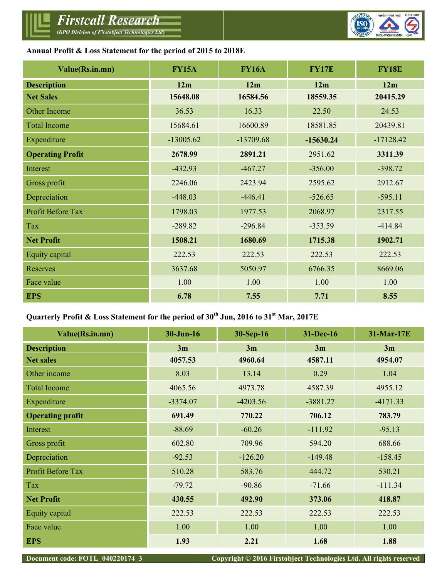

**Annual Profit & Loss Statement for the period of 2015 to 2018E**

| Value(Rs.in.mn)         | <b>FY15A</b> | <b>FY16A</b> | <b>FY17E</b> | <b>FY18E</b> |
|-------------------------|--------------|--------------|--------------|--------------|
| <b>Description</b>      | 12m          | 12m          | 12m          | 12m          |
| <b>Net Sales</b>        | 15648.08     | 16584.56     | 18559.35     | 20415.29     |
| Other Income            | 36.53        | 16.33        | 22.50        | 24.53        |
| <b>Total Income</b>     | 15684.61     | 16600.89     | 18581.85     | 20439.81     |
| Expenditure             | $-13005.62$  | $-13709.68$  | $-15630.24$  | $-17128.42$  |
| <b>Operating Profit</b> | 2678.99      | 2891.21      | 2951.62      | 3311.39      |
| Interest                | $-432.93$    | $-467.27$    | $-356.00$    | $-398.72$    |
| Gross profit            | 2246.06      | 2423.94      | 2595.62      | 2912.67      |
| Depreciation            | $-448.03$    | $-446.41$    | $-526.65$    | $-595.11$    |
| Profit Before Tax       | 1798.03      | 1977.53      | 2068.97      | 2317.55      |
| Tax                     | $-289.82$    | $-296.84$    | $-353.59$    | $-414.84$    |
| <b>Net Profit</b>       | 1508.21      | 1680.69      | 1715.38      | 1902.71      |
| Equity capital          | 222.53       | 222.53       | 222.53       | 222.53       |
| <b>Reserves</b>         | 3637.68      | 5050.97      | 6766.35      | 8669.06      |
| Face value              | 1.00         | 1.00         | 1.00         | 1.00         |
| <b>EPS</b>              | 6.78         | 7.55         | 7.71         | 8.55         |

## **Quarterly Profit & Loss Statement for the period of 30 th Jun, 2016 to 31 st Mar, 2017E**

| Value(Rs.in.mn)          | $30$ -Jun-16 | 30-Sep-16  | 31-Dec-16  | 31-Mar-17E |
|--------------------------|--------------|------------|------------|------------|
| <b>Description</b>       | 3m           | 3m         | 3m         | 3m         |
| <b>Net sales</b>         | 4057.53      | 4960.64    | 4587.11    | 4954.07    |
| Other income             | 8.03         | 13.14      | 0.29       | 1.04       |
| <b>Total Income</b>      | 4065.56      | 4973.78    | 4587.39    | 4955.12    |
| Expenditure              | $-3374.07$   | $-4203.56$ | $-3881.27$ | $-4171.33$ |
| <b>Operating profit</b>  | 691.49       | 770.22     | 706.12     | 783.79     |
| Interest                 | $-88.69$     | $-60.26$   | $-111.92$  | $-95.13$   |
| Gross profit             | 602.80       | 709.96     | 594.20     | 688.66     |
| Depreciation             | $-92.53$     | $-126.20$  | $-149.48$  | $-158.45$  |
| <b>Profit Before Tax</b> | 510.28       | 583.76     | 444.72     | 530.21     |
| Tax                      | $-79.72$     | $-90.86$   | $-71.66$   | $-111.34$  |
| <b>Net Profit</b>        | 430.55       | 492.90     | 373.06     | 418.87     |
| Equity capital           | 222.53       | 222.53     | 222.53     | 222.53     |
| Face value               | 1.00         | 1.00       | 1.00       | 1.00       |
| <b>EPS</b>               | 1.93         | 2.21       | 1.68       | 1.88       |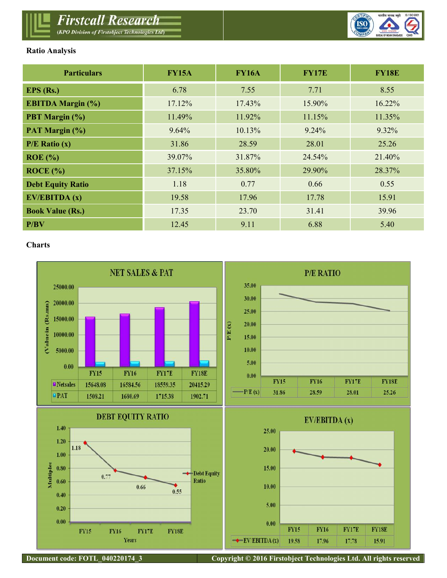

## **Ratio Analysis**

| <b>Particulars</b>       | <b>FY15A</b> | <b>FY16A</b> | <b>FY17E</b> | <b>FY18E</b> |
|--------------------------|--------------|--------------|--------------|--------------|
| $EPS$ (Rs.)              | 6.78         | 7.55         | 7.71         | 8.55         |
| <b>EBITDA Margin (%)</b> | 17.12%       | 17.43%       | 15.90%       | 16.22%       |
| PBT Margin (%)           | 11.49%       | 11.92%       | 11.15%       | 11.35%       |
| PAT Margin (%)           | 9.64%        | 10.13%       | 9.24%        | $9.32\%$     |
| $P/E$ Ratio $(x)$        | 31.86        | 28.59        | 28.01        | 25.26        |
| $ROE$ (%)                | 39.07%       | 31.87%       | 24.54%       | 21.40%       |
| ROCE (%)                 | 37.15%       | 35.80%       | 29.90%       | 28.37%       |
| <b>Debt Equity Ratio</b> | 1.18         | 0.77         | 0.66         | 0.55         |
| EV/EBITDA (x)            | 19.58        | 17.96        | 17.78        | 15.91        |
| <b>Book Value (Rs.)</b>  | 17.35        | 23.70        | 31.41        | 39.96        |
| P/BV                     | 12.45        | 9.11         | 6.88         | 5.40         |

#### **Charts**

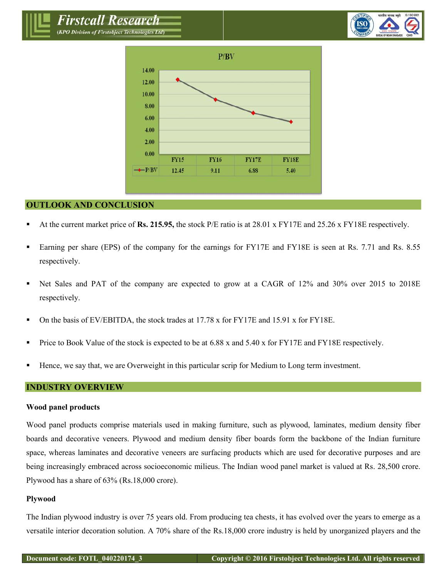*Firstcall Research* (KPO Division of Firstobject Technologies Ltd)





#### **OUTLOOK AND CONCLUSION**

- At the current market price of **Rs. 215.95,** the stock P/E ratio is at 28.01 x FY17E and 25.26 x FY18E respectively.
- **Earning per share (EPS) of the company for the earnings for FY17E and FY18E is seen at Rs. 7.71 and Rs. 8.55** respectively.
- Net Sales and PAT of the company are expected to grow at a CAGR of 12% and 30% over 2015 to 2018E respectively.
- On the basis of EV/EBITDA, the stock trades at  $17.78 \times$  for FY17E and  $15.91 \times$  for FY18E.
- Price to Book Value of the stock is expected to be at  $6.88$  x and  $5.40$  x for FY17E and FY18E respectively.
- Hence, we say that, we are Overweight in this particular scrip for Medium to Long term investment.

## **INDUSTRY OVERVIEW**

#### **Wood panel products**

Wood panel products comprise materials used in making furniture, such as plywood, laminates, medium density fiber boards and decorative veneers. Plywood and medium density fiber boards form the backbone of the Indian furniture space, whereas laminates and decorative veneers are surfacing products which are used for decorative purposes and are being increasingly embraced across socioeconomic milieus. The Indian wood panel market is valued at Rs. 28,500 crore. Plywood has a share of 63% (Rs.18,000 crore).

#### **Plywood**

The Indian plywood industry is over 75 years old. From producing tea chests, it has evolved over the years to emerge as a versatile interior decoration solution. A 70% share of the Rs.18,000 crore industry is held by unorganized players and the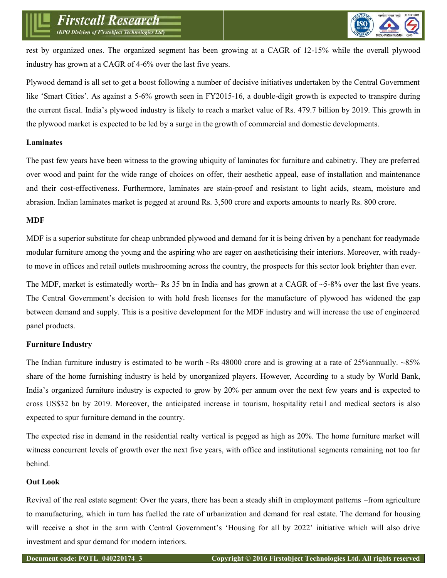rest by organized ones. The organized segment has been growing at a CAGR of 12-15% while the overall plywood industry has grown at a CAGR of 4-6% over the last five years.

Plywood demand is all set to get a boost following a number of decisive initiatives undertaken by the Central Government like 'Smart Cities'. As against a 5-6% growth seen in FY2015-16, a double-digit growth is expected to transpire during the current fiscal. India's plywood industry is likely to reach a market value of Rs. 479.7 billion by 2019. This growth in the plywood market is expected to be led by a surge in the growth of commercial and domestic developments.

## **Laminates**

The past few years have been witness to the growing ubiquity of laminates for furniture and cabinetry. They are preferred over wood and paint for the wide range of choices on offer, their aesthetic appeal, ease of installation and maintenance and their cost-effectiveness. Furthermore, laminates are stain-proof and resistant to light acids, steam, moisture and abrasion. Indian laminates market is pegged at around Rs. 3,500 crore and exports amounts to nearly Rs. 800 crore.

## **MDF**

MDF is a superior substitute for cheap unbranded plywood and demand for it is being driven by a penchant for readymade modular furniture among the young and the aspiring who are eager on aestheticising their interiors. Moreover, with readyto move in offices and retail outlets mushrooming across the country, the prospects for this sector look brighter than ever.

The MDF, market is estimatedly worth~ Rs 35 bn in India and has grown at a CAGR of  $\sim$ 5-8% over the last five years. The Central Government's decision to with hold fresh licenses for the manufacture of plywood has widened the gap between demand and supply. This is a positive development for the MDF industry and will increase the use of engineered panel products.

## **Furniture Industry**

The Indian furniture industry is estimated to be worth  $\sim$ Rs 48000 crore and is growing at a rate of 25% annually.  $\sim$ 85% share of the home furnishing industry is held by unorganized players. However, According to a study by World Bank, India's organized furniture industry is expected to grow by 20% per annum over the next few years and is expected to cross US\$32 bn by 2019. Moreover, the anticipated increase in tourism, hospitality retail and medical sectors is also expected to spur furniture demand in the country.

The expected rise in demand in the residential realty vertical is pegged as high as 20%. The home furniture market will witness concurrent levels of growth over the next five years, with office and institutional segments remaining not too far behind.

## **Out Look**

Revival of the real estate segment: Over the years, there has been a steady shift in employment patterns –from agriculture to manufacturing, which in turn has fuelled the rate of urbanization and demand for real estate. The demand for housing will receive a shot in the arm with Central Government's 'Housing for all by 2022' initiative which will also drive investment and spur demand for modern interiors.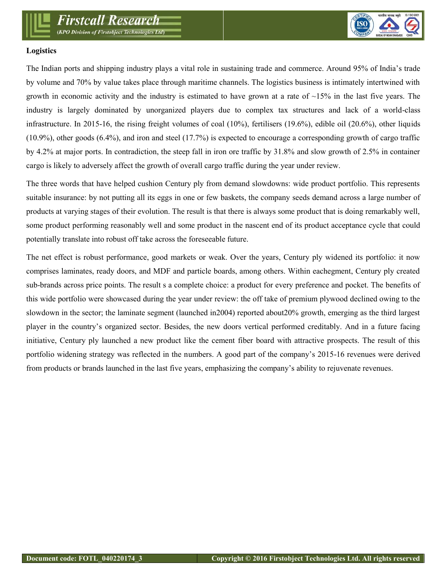

## **Logistics**

The Indian ports and shipping industry plays a vital role in sustaining trade and commerce. Around 95% of India's trade by volume and 70% by value takes place through maritime channels. The logistics business is intimately intertwined with growth in economic activity and the industry is estimated to have grown at a rate of  $\sim 15\%$  in the last five years. The industry is largely dominated by unorganized players due to complex tax structures and lack of a world-class infrastructure. In 2015-16, the rising freight volumes of coal  $(10\%)$ , fertilisers  $(19.6\%)$ , edible oil  $(20.6\%)$ , other liquids (10.9%), other goods (6.4%), and iron and steel (17.7%) is expected to encourage a corresponding growth of cargo traffic by 4.2% at major ports. In contradiction, the steep fall in iron ore traffic by 31.8% and slow growth of 2.5% in container cargo is likely to adversely affect the growth of overall cargo traffic during the year under review.

The three words that have helped cushion Century ply from demand slowdowns: wide product portfolio. This represents suitable insurance: by not putting all its eggs in one or few baskets, the company seeds demand across a large number of products at varying stages of their evolution. The result is that there is always some product that is doing remarkably well, some product performing reasonably well and some product in the nascent end of its product acceptance cycle that could potentially translate into robust off take across the foreseeable future.

The net effect is robust performance, good markets or weak. Over the years, Century ply widened its portfolio: it now comprises laminates, ready doors, and MDF and particle boards, among others. Within eachegment, Century ply created sub-brands across price points. The result s a complete choice: a product for every preference and pocket. The benefits of this wide portfolio were showcased during the year under review: the off take of premium plywood declined owing to the slowdown in the sector; the laminate segment (launched in2004) reported about20% growth, emerging as the third largest player in the country's organized sector. Besides, the new doors vertical performed creditably. And in a future facing initiative, Century ply launched a new product like the cement fiber board with attractive prospects. The result of this portfolio widening strategy was reflected in the numbers. A good part of the company's 2015-16 revenues were derived from products or brands launched in the last five years, emphasizing the company's ability to rejuvenate revenues.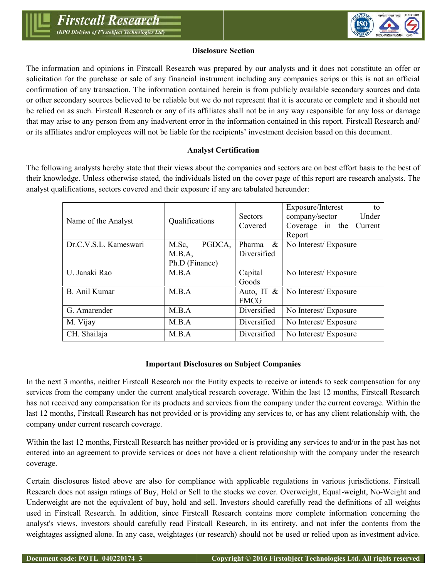

## **Disclosure Section**

The information and opinions in Firstcall Research was prepared by our analysts and it does not constitute an offer or solicitation for the purchase or sale of any financial instrument including any companies scrips or this is not an official confirmation of any transaction. The information contained herein is from publicly available secondary sources and data or other secondary sources believed to be reliable but we do not represent that it is accurate or complete and it should not be relied on as such. Firstcall Research or any of its affiliates shall not be in any way responsible for any loss or damage that may arise to any person from any inadvertent error in the information contained in this report. Firstcall Research and/ or its affiliates and/or employees will not be liable for the recipients' investment decision based on this document.

## **Analyst Certification**

The following analysts hereby state that their views about the companies and sectors are on best effort basis to the best of their knowledge. Unless otherwise stated, the individuals listed on the cover page of this report are research analysts. The analyst qualifications, sectors covered and their exposure if any are tabulated hereunder:

| Name of the Analyst   | Qualifications  | <b>Sectors</b><br>Covered | Exposure/Interest<br>to<br>company/sector<br>Under<br>Coverage in the<br>Current<br>Report |
|-----------------------|-----------------|---------------------------|--------------------------------------------------------------------------------------------|
| Dr.C.V.S.L. Kameswari | PGDCA.<br>M.Sc, | Pharma<br>$\&$            | No Interest/Exposure                                                                       |
|                       | M.B.A,          | Diversified               |                                                                                            |
|                       | Ph.D (Finance)  |                           |                                                                                            |
| U. Janaki Rao         | M.B.A           | Capital                   | No Interest/Exposure                                                                       |
|                       |                 | Goods                     |                                                                                            |
| <b>B.</b> Anil Kumar  | M.B.A           | Auto, IT $\&$             | No Interest/Exposure                                                                       |
|                       |                 | <b>FMCG</b>               |                                                                                            |
| G. Amarender          | M.B.A           | Diversified               | No Interest/Exposure                                                                       |
| M. Vijay              | M.B.A           | Diversified               | No Interest/Exposure                                                                       |
| CH. Shailaja          | M.B.A           | Diversified               | No Interest/Exposure                                                                       |

#### **Important Disclosures on Subject Companies**

In the next 3 months, neither Firstcall Research nor the Entity expects to receive or intends to seek compensation for any services from the company under the current analytical research coverage. Within the last 12 months, Firstcall Research has not received any compensation for its products and services from the company under the current coverage. Within the last 12 months, Firstcall Research has not provided or is providing any services to, or has any client relationship with, the company under current research coverage.

Within the last 12 months, Firstcall Research has neither provided or is providing any services to and/or in the past has not entered into an agreement to provide services or does not have a client relationship with the company under the research coverage.

Certain disclosures listed above are also for compliance with applicable regulations in various jurisdictions. Firstcall Research does not assign ratings of Buy, Hold or Sell to the stocks we cover. Overweight, Equal-weight, No-Weight and Underweight are not the equivalent of buy, hold and sell. Investors should carefully read the definitions of all weights used in Firstcall Research. In addition, since Firstcall Research contains more complete information concerning the analyst's views, investors should carefully read Firstcall Research, in its entirety, and not infer the contents from the weightages assigned alone. In any case, weightages (or research) should not be used or relied upon as investment advice.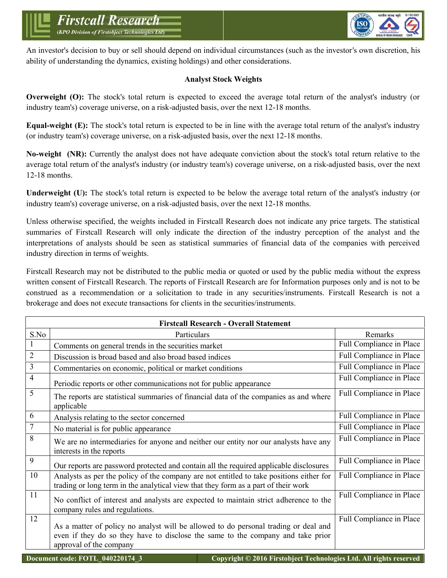

An investor's decision to buy or sell should depend on individual circumstances (such as the investor's own discretion, his ability of understanding the dynamics, existing holdings) and other considerations.

## **Analyst Stock Weights**

**Overweight (O):** The stock's total return is expected to exceed the average total return of the analyst's industry (or industry team's) coverage universe, on a risk-adjusted basis, over the next 12-18 months.

**Equal-weight (E):** The stock's total return is expected to be in line with the average total return of the analyst's industry (or industry team's) coverage universe, on a risk-adjusted basis, over the next 12-18 months.

**No-weight (NR):** Currently the analyst does not have adequate conviction about the stock's total return relative to the average total return of the analyst's industry (or industry team's) coverage universe, on a risk-adjusted basis, over the next 12-18 months.

**Underweight (U):** The stock's total return is expected to be below the average total return of the analyst's industry (or industry team's) coverage universe, on a risk-adjusted basis, over the next 12-18 months.

Unless otherwise specified, the weights included in Firstcall Research does not indicate any price targets. The statistical summaries of Firstcall Research will only indicate the direction of the industry perception of the analyst and the interpretations of analysts should be seen as statistical summaries of financial data of the companies with perceived industry direction in terms of weights.

Firstcall Research may not be distributed to the public media or quoted or used by the public media without the express written consent of Firstcall Research. The reports of Firstcall Research are for Information purposes only and is not to be construed as a recommendation or a solicitation to trade in any securities/instruments. Firstcall Research is not a brokerage and does not execute transactions for clients in the securities/instruments.

|                | <b>Firstcall Research - Overall Statement</b>                                                                                                                                                     |                          |
|----------------|---------------------------------------------------------------------------------------------------------------------------------------------------------------------------------------------------|--------------------------|
| S.No           | Particulars                                                                                                                                                                                       | Remarks                  |
| 1              | Comments on general trends in the securities market                                                                                                                                               | Full Compliance in Place |
| $\overline{2}$ | Discussion is broad based and also broad based indices                                                                                                                                            | Full Compliance in Place |
| 3              | Commentaries on economic, political or market conditions                                                                                                                                          | Full Compliance in Place |
| 4              | Periodic reports or other communications not for public appearance                                                                                                                                | Full Compliance in Place |
| 5              | The reports are statistical summaries of financial data of the companies as and where<br>applicable                                                                                               | Full Compliance in Place |
| 6              | Analysis relating to the sector concerned                                                                                                                                                         | Full Compliance in Place |
| $\overline{7}$ | No material is for public appearance                                                                                                                                                              | Full Compliance in Place |
| 8              | We are no intermediaries for anyone and neither our entity nor our analysts have any<br>interests in the reports                                                                                  | Full Compliance in Place |
| 9              | Our reports are password protected and contain all the required applicable disclosures                                                                                                            | Full Compliance in Place |
| 10             | Analysts as per the policy of the company are not entitled to take positions either for<br>trading or long term in the analytical view that they form as a part of their work                     | Full Compliance in Place |
| 11             | No conflict of interest and analysts are expected to maintain strict adherence to the<br>company rules and regulations.                                                                           | Full Compliance in Place |
| 12             | As a matter of policy no analyst will be allowed to do personal trading or deal and<br>even if they do so they have to disclose the same to the company and take prior<br>approval of the company | Full Compliance in Place |